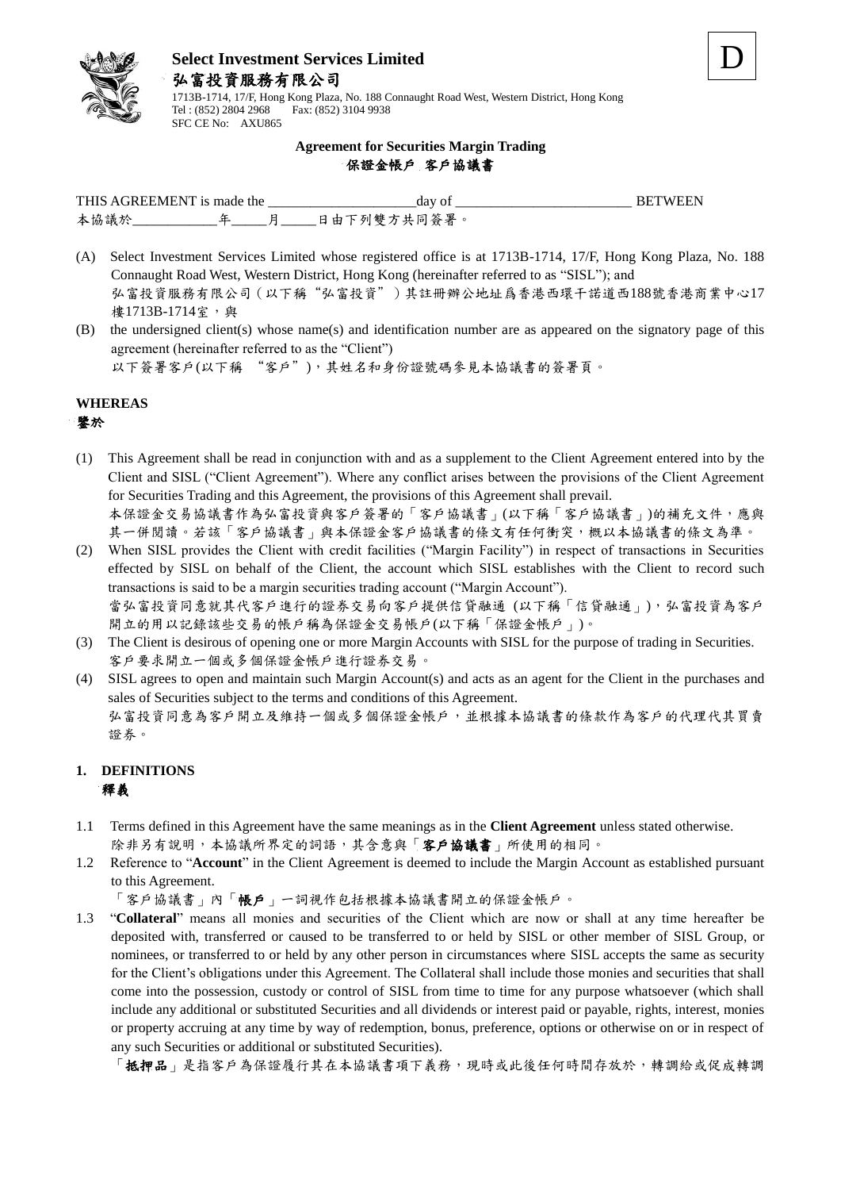

1713B-1714, 17/F, Hong Kong Plaza, No. 188 Connaught Road West, Western District, Hong Kong Tel : (852) 2804 2968 Fax: (852) 3104 9938 SFC CE No: AXU865

#### **Agreement for Securities Margin Trading** 保證金帳戶 客戶協議書

| TН<br>AGREEMEN'<br>the<br>. н<br>. . |  |  | dav                                        |  |
|--------------------------------------|--|--|--------------------------------------------|--|
| 本協<br>誐                              |  |  | $\mathbf{m}$<br>œ<br>ь<br><i>KI</i> I<br>ᇆ |  |

- (A) Select Investment Services Limited whose registered office is at 1713B-1714, 17/F, Hong Kong Plaza, No. 188 Connaught Road West, Western District, Hong Kong (hereinafter referred to as "SISL"); and 弘富投資服務有限公司(以下稱"弘富投資")其註冊辦公地址爲香港西環干諾道西188號香港商業中心17 樓1713B-1714室,與
- (B) the undersigned client(s) whose name(s) and identification number are as appeared on the signatory page of this agreement (hereinafter referred to as the "Client") 以下簽署客戶(以下稱 "客戶"),其姓名和身份證號碼參見本協議書的簽署頁。

**WHEREAS**

#### 鑒於

(1) This Agreement shall be read in conjunction with and as a supplement to the Client Agreement entered into by the Client and SISL ("Client Agreement"). Where any conflict arises between the provisions of the Client Agreement for Securities Trading and this Agreement, the provisions of this Agreement shall prevail. 本保證金交易協議書作為弘富投資與客戶簽署的「客戶協議書」(以下稱「客戶協議書」)的補充文件,應與

其一併閱讀。若該「客戶協議書」與本保證金客戶協議書的條文有任何衝突,概以本協議書的條文為準。

- (2) When SISL provides the Client with credit facilities ("Margin Facility") in respect of transactions in Securities effected by SISL on behalf of the Client, the account which SISL establishes with the Client to record such transactions is said to be a margin securities trading account ("Margin Account"). 當弘富投資同意就其代客戶進行的證券交易向客戶提供信貸融通 (以下稱「信貸融通」),弘富投資為客戶 開立的用以記錄該些交易的帳戶稱為保證金交易帳戶(以下稱「保證金帳戶」)。
- (3) The Client is desirous of opening one or more Margin Accounts with SISL for the purpose of trading in Securities. 客戶要求開立一個或多個保證金帳戶進行證券交易。

(4) SISL agrees to open and maintain such Margin Account(s) and acts as an agent for the Client in the purchases and sales of Securities subject to the terms and conditions of this Agreement. 弘富投資同意為客戶開立及維持一個或多個保證金帳戶,並根據本協議書的條款作為客戶的代理代其買賣 證券。

## **1. DEFINITIONS** 釋義

- 1.1 Terms defined in this Agreement have the same meanings as in the **Client Agreement** unless stated otherwise. 除非另有說明,本協議所界定的詞語,其含意與「客戶協議書」所使用的相同。
- 1.2 Reference to "**Account**" in the Client Agreement is deemed to include the Margin Account as established pursuant to this Agreement.

「客戶協議書」內「帳戶」一詞視作包括根據本協議書開立的保證金帳戶。

1.3 "**Collateral**" means all monies and securities of the Client which are now or shall at any time hereafter be deposited with, transferred or caused to be transferred to or held by SISL or other member of SISL Group, or nominees, or transferred to or held by any other person in circumstances where SISL accepts the same as security for the Client's obligations under this Agreement. The Collateral shall include those monies and securities that shall come into the possession, custody or control of SISL from time to time for any purpose whatsoever (which shall include any additional or substituted Securities and all dividends or interest paid or payable, rights, interest, monies or property accruing at any time by way of redemption, bonus, preference, options or otherwise on or in respect of any such Securities or additional or substituted Securities).

「抵押品」是指客戶為保證履行其在本協議書項下義務,現時或此後任何時間存放於,轉調給或促成轉調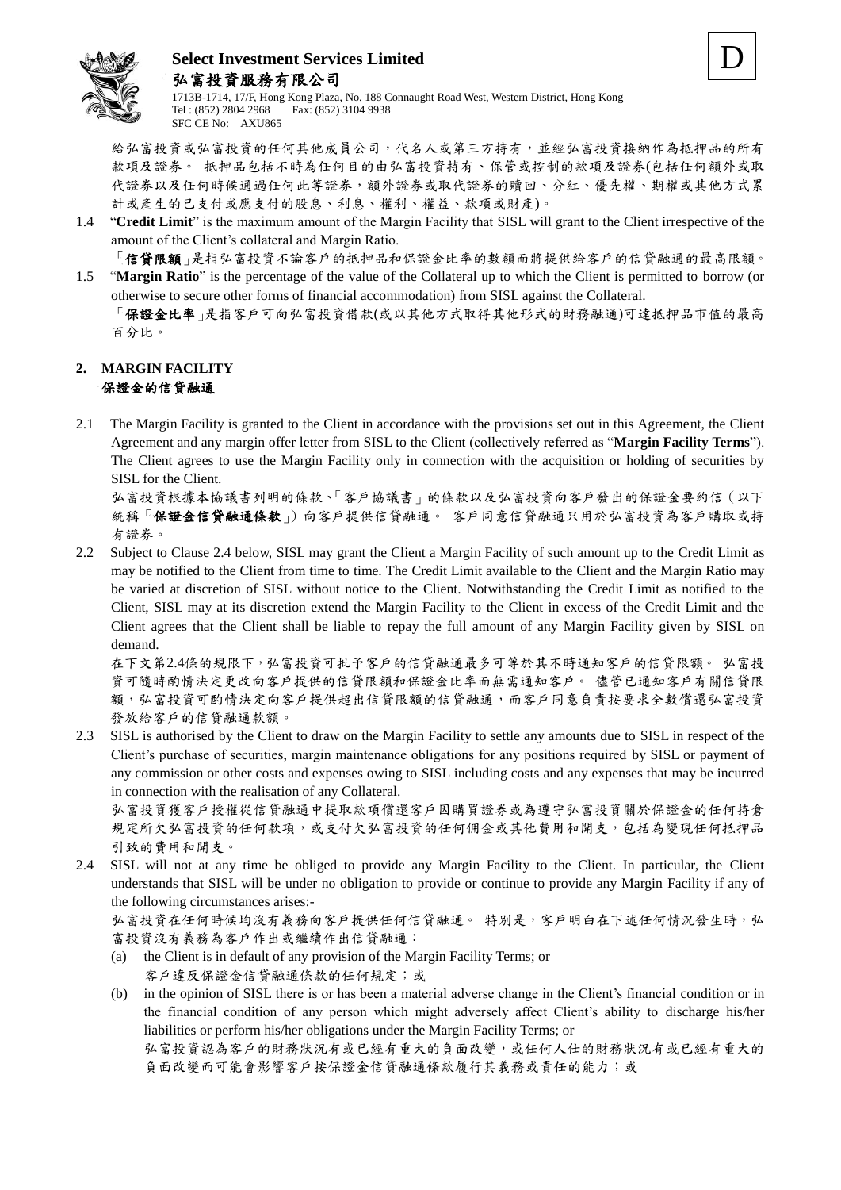



給弘富投資或弘富投資的任何其他成員公司,代名人或第三方持有,並經弘富投資接納作為抵押品的所有 款項及證券。 抵押品包括不時為任何目的由弘富投資持有、保管或控制的款項及證券(包括任何額外或取 代證券以及任何時候通過任何此等證券,額外證券或取代證券的贖回、分紅、優先權、期權或其他方式累 計或產生的已支付或應支付的股息、利息、權利、權益、款項或財產)。

D

1.4 "**Credit Limit**" is the maximum amount of the Margin Facility that SISL will grant to the Client irrespective of the amount of the Client's collateral and Margin Ratio.

「信貸限額」是指弘富投資不論客戶的抵押品和保證金比率的數額而將提供給客戶的信貸融通的最高限額。

1.5 "**Margin Ratio**" is the percentage of the value of the Collateral up to which the Client is permitted to borrow (or otherwise to secure other forms of financial accommodation) from SISL against the Collateral. 「保證金比率」是指客戶可向弘富投資借款(或以其他方式取得其他形式的財務融通)可達抵押品市值的最高 百分比。

#### **2. MARGIN FACILITY** 保證金的信貸融通

2.1 The Margin Facility is granted to the Client in accordance with the provisions set out in this Agreement, the Client Agreement and any margin offer letter from SISL to the Client (collectively referred as "**Margin Facility Terms**"). The Client agrees to use the Margin Facility only in connection with the acquisition or holding of securities by SISL for the Client.

弘富投資根據本協議書列明的條款、「客戶協議書」的條款以及弘富投資向客戶發出的保證金要約信(以下 統稱「保證金信貸融通條款」)向客戶提供信貸融通。 客戶同意信貸融通只用於弘富投資為客戶購取或持 有證券。

2.2 Subject to Clause 2.4 below, SISL may grant the Client a Margin Facility of such amount up to the Credit Limit as may be notified to the Client from time to time. The Credit Limit available to the Client and the Margin Ratio may be varied at discretion of SISL without notice to the Client. Notwithstanding the Credit Limit as notified to the Client, SISL may at its discretion extend the Margin Facility to the Client in excess of the Credit Limit and the Client agrees that the Client shall be liable to repay the full amount of any Margin Facility given by SISL on demand.

在下文第2.4條的規限下,弘富投資可批予客戶的信貸融通最多可等於其不時通知客戶的信貸限額。 弘富投 資可隨時酌情決定更改向客戶提供的信貸限額和保證金比率而無需通知客戶。 儘管已通知客戶有關信貸限 額,弘富投資可酌情決定向客戶提供超出信貸限額的信貸融通,而客戶同意負責按要求全數償還弘富投資 發放給客戶的信貸融通款額。

2.3 SISL is authorised by the Client to draw on the Margin Facility to settle any amounts due to SISL in respect of the Client's purchase of securities, margin maintenance obligations for any positions required by SISL or payment of any commission or other costs and expenses owing to SISL including costs and any expenses that may be incurred in connection with the realisation of any Collateral.

弘富投資獲客戶授權從信貸融通中提取款項償還客戶因購買證券或為遵守弘富投資關於保證金的任何持倉 規定所欠弘富投資的任何佣金或其他費用和開支,包括為變現任何抵押品 引致的費用和開支。

2.4 SISL will not at any time be obliged to provide any Margin Facility to the Client. In particular, the Client understands that SISL will be under no obligation to provide or continue to provide any Margin Facility if any of the following circumstances arises:-

弘富投資在任何時候均沒有義務向客戶提供任何信貸融通。 特別是,客戶明白在下述任何情況發生時,弘 富投資沒有義務為客戶作出或繼續作出信貸融通:

- (a) the Client is in default of any provision of the Margin Facility Terms; or 客戶違反保證金信貸融通條款的任何規定;或
- (b) in the opinion of SISL there is or has been a material adverse change in the Client's financial condition or in the financial condition of any person which might adversely affect Client's ability to discharge his/her liabilities or perform his/her obligations under the Margin Facility Terms; or

弘富投資認為客戶的財務狀況有或已經有重大的負面改變,或任何人仕的財務狀況有或已經有重大的 負面改變而可能會影響客戶按保證金信貸融通條款履行其義務或責任的能力;或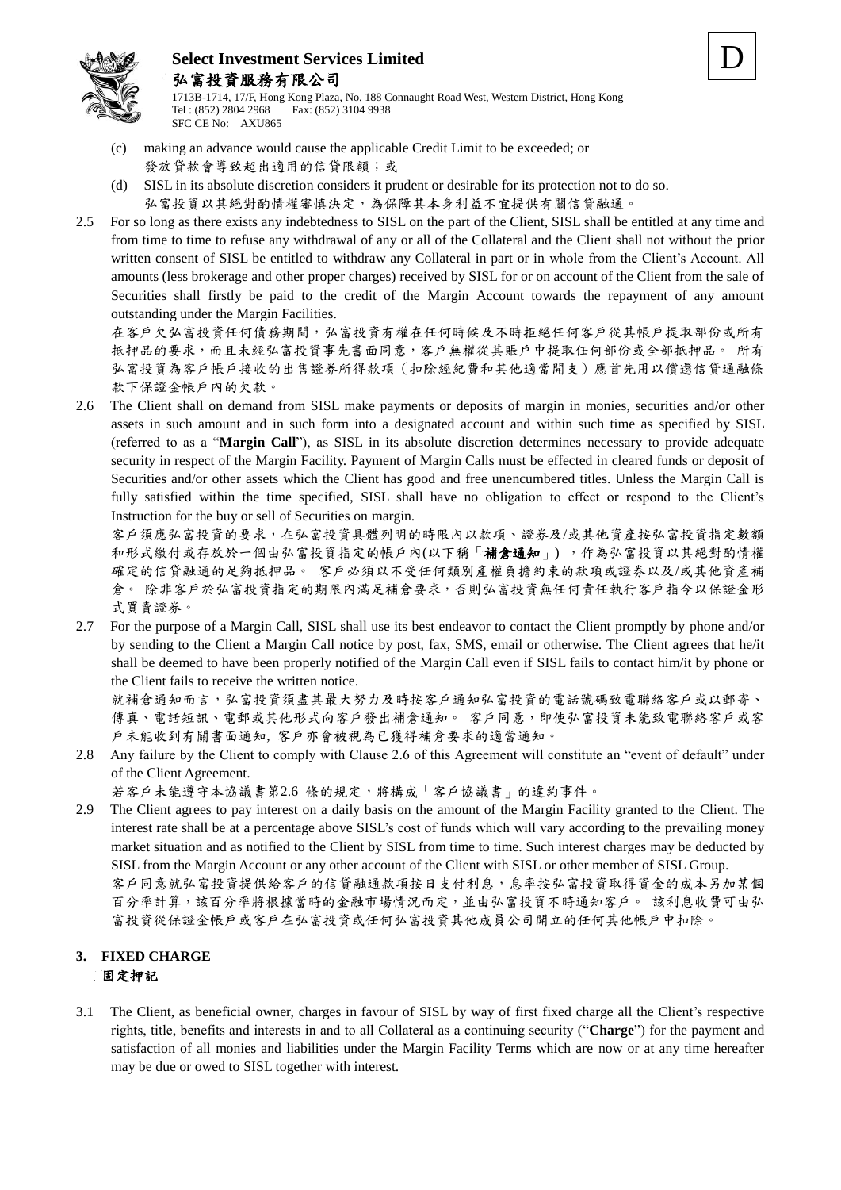

1713B-1714, 17/F, Hong Kong Plaza, No. 188 Connaught Road West, Western District, Hong Kong Tel : (852) 2804 2968 Fax: (852) 3104 9938 SFC CE No: AXU865

- (c) making an advance would cause the applicable Credit Limit to be exceeded; or 發放貸款會導致超出適用的信貸限額;或
- (d) SISL in its absolute discretion considers it prudent or desirable for its protection not to do so. 弘富投資以其絕對酌情權審慎決定,為保障其本身利益不宜提供有關信貸融通。
- 2.5 For so long as there exists any indebtedness to SISL on the part of the Client, SISL shall be entitled at any time and from time to time to refuse any withdrawal of any or all of the Collateral and the Client shall not without the prior written consent of SISL be entitled to withdraw any Collateral in part or in whole from the Client's Account. All amounts (less brokerage and other proper charges) received by SISL for or on account of the Client from the sale of Securities shall firstly be paid to the credit of the Margin Account towards the repayment of any amount outstanding under the Margin Facilities.

在客戶欠弘富投資任何債務期間,弘富投資有權在任何時候及不時拒絕任何客戶從其帳戶提取部份或所有 抵押品的要求,而且未經弘富投資事先書面同意,客戶無權從其賬戶中提取任何部份或全部抵押品。 所有 弘富投資為客戶帳戶接收的出售證券所得款項(扣除經紀費和其他適當開支)應首先用以償還信貸通融條 款下保證金帳戶內的欠款。

2.6 The Client shall on demand from SISL make payments or deposits of margin in monies, securities and/or other assets in such amount and in such form into a designated account and within such time as specified by SISL (referred to as a "**Margin Call**"), as SISL in its absolute discretion determines necessary to provide adequate security in respect of the Margin Facility. Payment of Margin Calls must be effected in cleared funds or deposit of Securities and/or other assets which the Client has good and free unencumbered titles. Unless the Margin Call is fully satisfied within the time specified, SISL shall have no obligation to effect or respond to the Client's Instruction for the buy or sell of Securities on margin.

客戶須應弘富投資的要求,在弘富投資具體列明的時限內以款項、證券及/或其他資產按弘富投資指定數額 和形式繳付或存放於一個由弘富投資指定的帳戶內(以下稱「補倉通知」),作為弘富投資以其絕對酌情權 確定的信貸融通的足夠抵押品。 客戶必須以不受任何類別產權負擔約束的款項或證券以及/或其他資產補 倉。 除非客戶於弘富投資指定的期限內滿足補倉要求,否則弘富投資無任何責任執行客戶指令以保證金形 式買賣證券。

2.7 For the purpose of a Margin Call, SISL shall use its best endeavor to contact the Client promptly by phone and/or by sending to the Client a Margin Call notice by post, fax, SMS, email or otherwise. The Client agrees that he/it shall be deemed to have been properly notified of the Margin Call even if SISL fails to contact him/it by phone or the Client fails to receive the written notice.

就補倉通知而言,弘富投資須盡其最大努力及時按客戶通知弘富投資的電話號碼致電聯絡客戶或以郵寄、 傳真、電話短訊、電郵或其他形式向客戶發出補倉通知。 客戶同意,即使弘富投資未能致電聯絡客戶或客 戶未能收到有關書面通知, 客戶亦會被視為已獲得補倉要求的適當通知。

2.8 Any failure by the Client to comply with Clause 2.6 of this Agreement will constitute an "event of default" under of the Client Agreement.

若客戶未能遵守本協議書第2.6 條的規定,將構成「客戶協議書」的違約事件。

2.9 The Client agrees to pay interest on a daily basis on the amount of the Margin Facility granted to the Client. The interest rate shall be at a percentage above SISL's cost of funds which will vary according to the prevailing money market situation and as notified to the Client by SISL from time to time. Such interest charges may be deducted by SISL from the Margin Account or any other account of the Client with SISL or other member of SISL Group. 客戶同意就弘富投資提供給客戶的信貸融通款項按日支付利息,息率按弘富投資取得資金的成本另加某個

百分率計算,該百分率將根據當時的金融市場情況而定,並由弘富投資不時通知客戶。 該利息收費可由弘 富投資從保證金帳戶或客戶在弘富投資或任何弘富投資其他成員公司開立的任何其他帳戶中扣除。

## **3. FIXED CHARGE** 固定押記

3.1 The Client, as beneficial owner, charges in favour of SISL by way of first fixed charge all the Client's respective rights, title, benefits and interests in and to all Collateral as a continuing security ("**Charge**") for the payment and satisfaction of all monies and liabilities under the Margin Facility Terms which are now or at any time hereafter may be due or owed to SISL together with interest.

D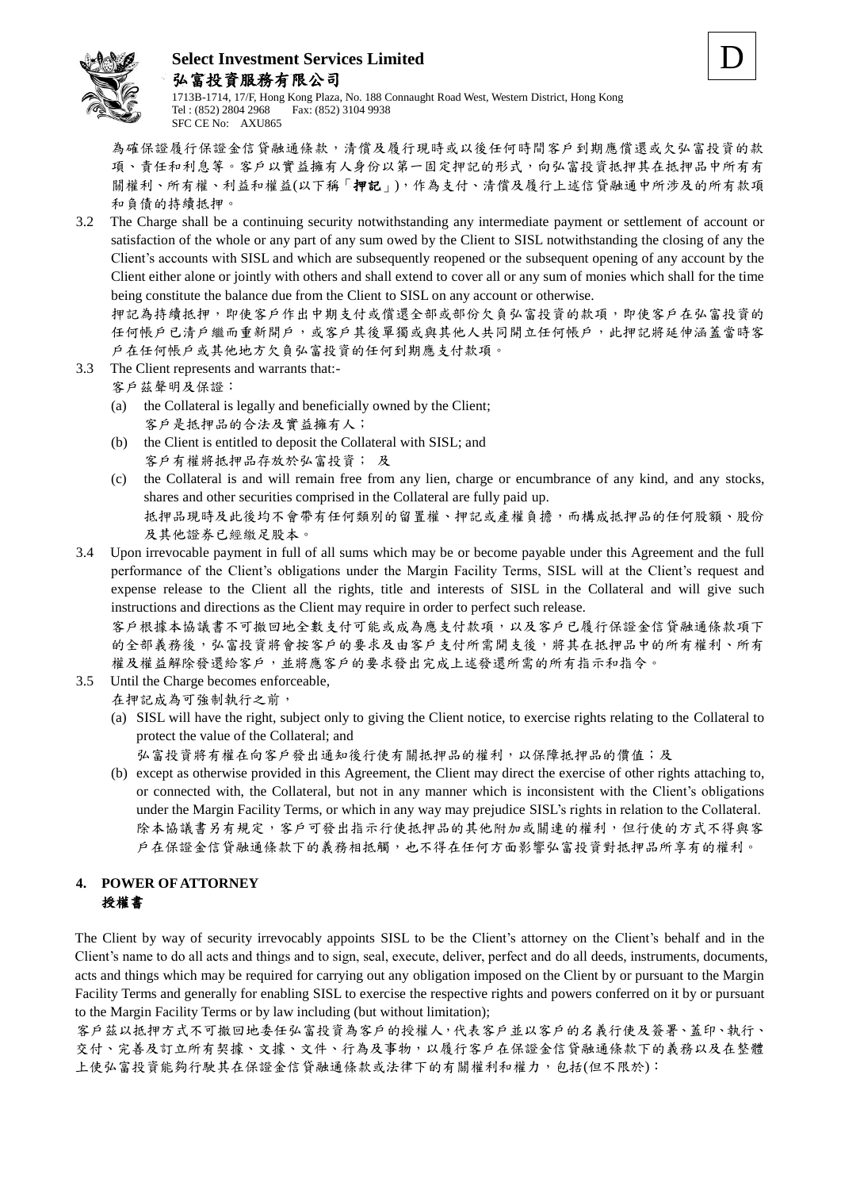

1713B-1714, 17/F, Hong Kong Plaza, No. 188 Connaught Road West, Western District, Hong Kong Tel : (852) 2804 2968 Fax: (852) 3104 9938 SFC CE No: AXU865

為確保證履行保證金信貸融通條款,清償及履行現時或以後任何時間客戶到期應償還或欠弘富投資的款 項、責任和利息等。客戶以實益擁有人身份以第一固定押記的形式,向弘富投資抵押其在抵押品中所有有 關權利、所有權、利益和權益(以下稱「押記」),作為支付、清償及履行上述信貸融通中所涉及的所有款項 和負債的持續抵押。

3.2 The Charge shall be a continuing security notwithstanding any intermediate payment or settlement of account or satisfaction of the whole or any part of any sum owed by the Client to SISL notwithstanding the closing of any the Client's accounts with SISL and which are subsequently reopened or the subsequent opening of any account by the Client either alone or jointly with others and shall extend to cover all or any sum of monies which shall for the time being constitute the balance due from the Client to SISL on any account or otherwise.

押記為持續抵押,即使客戶作出中期支付或償還全部或部份欠負弘富投資的款項,即使客戶在弘富投資的 任何帳戶已清戶繼而重新開戶,或客戶其後單獨或與其他人共同開立任何帳戶,此押記將延伸涵蓋當時客 戶在任何帳戶或其他地方欠負弘富投資的任何到期應支付款項。

- 3.3 The Client represents and warrants that:-
	- 客戶茲聲明及保證:
		- (a) the Collateral is legally and beneficially owned by the Client; 客戶是抵押品的合法及實益擁有人;
		- (b) the Client is entitled to deposit the Collateral with SISL; and 客戶有權將抵押品存放於弘富投資; 及
		- (c) the Collateral is and will remain free from any lien, charge or encumbrance of any kind, and any stocks, shares and other securities comprised in the Collateral are fully paid up. 抵押品現時及此後均不會帶有任何類別的留置權、押記或產權負擔,而構成抵押品的任何股額、股份 及其他證券已經繳足股本。
- 3.4 Upon irrevocable payment in full of all sums which may be or become payable under this Agreement and the full performance of the Client's obligations under the Margin Facility Terms, SISL will at the Client's request and expense release to the Client all the rights, title and interests of SISL in the Collateral and will give such instructions and directions as the Client may require in order to perfect such release. 客戶根據本協議書不可撤回地全數支付可能或成為應支付款項,以及客戶已履行保證金信貸融通條款項下

的全部義務後,弘富投資將會按客戶的要求及由客戶支付所需開支後,將其在抵押品中的所有權利、所有 權及權益解除發還給客戶,並將應客戶的要求發出完成上述發還所需的所有指示和指令。

3.5 Until the Charge becomes enforceable,

在押記成為可強制執行之前,

(a) SISL will have the right, subject only to giving the Client notice, to exercise rights relating to the Collateral to protect the value of the Collateral; and

弘富投資將有權在向客戶發出通知後行使有關抵押品的權利,以保障抵押品的價值;及

(b) except as otherwise provided in this Agreement, the Client may direct the exercise of other rights attaching to, or connected with, the Collateral, but not in any manner which is inconsistent with the Client's obligations under the Margin Facility Terms, or which in any way may prejudice SISL's rights in relation to the Collateral. 除本協議書另有規定,客戶可發出指示行使抵押品的其他附加或關連的權利,但行使的方式不得與客 戶在保證金信貸融通條款下的義務相抵觸,也不得在任何方面影響弘富投資對抵押品所享有的權利。

## **4. POWER OF ATTORNEY** 授權書

The Client by way of security irrevocably appoints SISL to be the Client's attorney on the Client's behalf and in the Client's name to do all acts and things and to sign, seal, execute, deliver, perfect and do all deeds, instruments, documents, acts and things which may be required for carrying out any obligation imposed on the Client by or pursuant to the Margin Facility Terms and generally for enabling SISL to exercise the respective rights and powers conferred on it by or pursuant to the Margin Facility Terms or by law including (but without limitation);

客戶茲以抵押方式不可撤回地委任弘富投資為客戶的授權人,代表客戶並以客戶的名義行使及簽署、蓋印、執行、 交付、完善及訂立所有契據、文據、文件、行為及事物,以履行客戶在保證金信貸融通條款下的義務以及在整體 上使弘富投資能夠行駛其在保證金信貸融通條款或法律下的有關權利和權力,包括(但不限於):

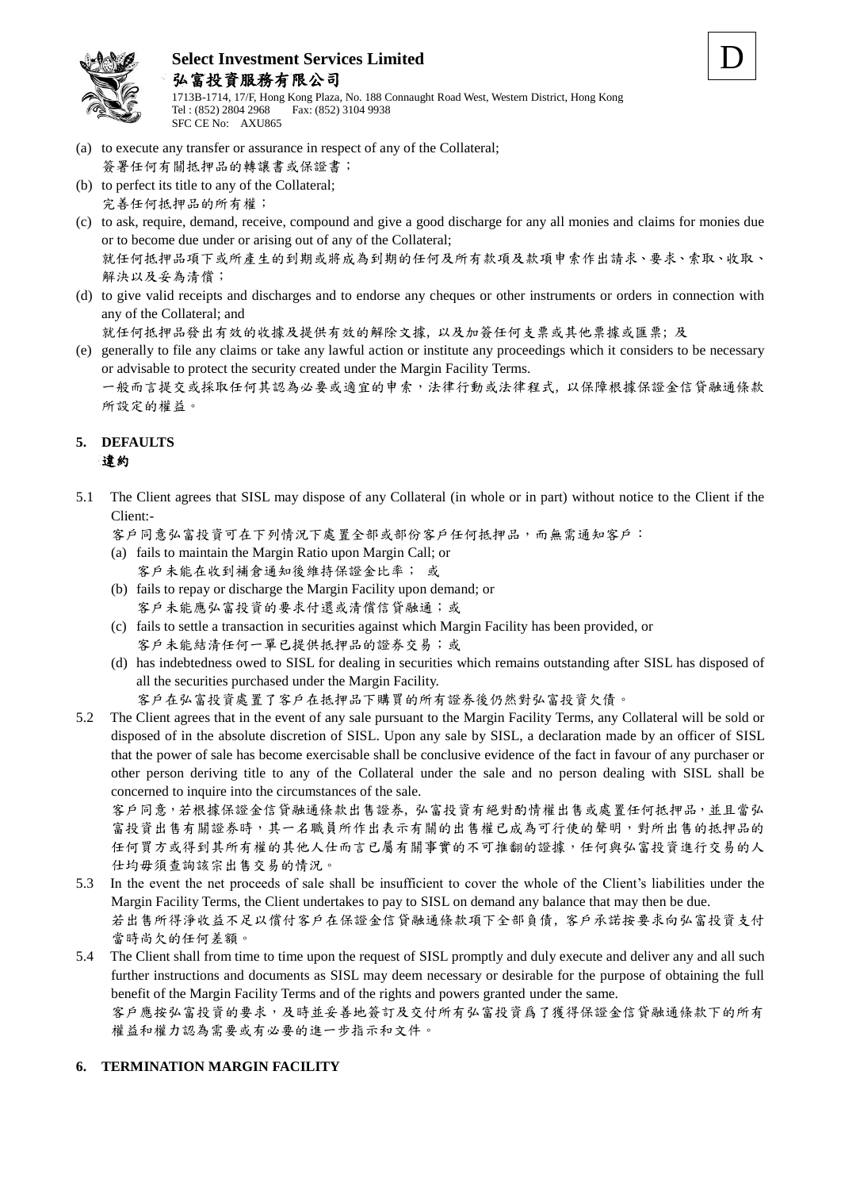

1713B-1714, 17/F, Hong Kong Plaza, No. 188 Connaught Road West, Western District, Hong Kong Tel : (852) 2804 2968 Fax: (852) 3104 9938 SFC CE No: AXU865

- (a) to execute any transfer or assurance in respect of any of the Collateral;
- 簽署任何有關抵押品的轉讓書或保證書; (b) to perfect its title to any of the Collateral;
- 完善任何抵押品的所有權;
- (c) to ask, require, demand, receive, compound and give a good discharge for any all monies and claims for monies due or to become due under or arising out of any of the Collateral; 就任何抵押品項下或所產生的到期或將成為到期的任何及所有款項及款項申索作出請求、要求、索取、收取、 解決以及妥為清償;
- (d) to give valid receipts and discharges and to endorse any cheques or other instruments or orders in connection with any of the Collateral; and

就任何抵押品發出有效的收據及提供有效的解除文據, 以及加簽任何支票或其他票據或匯票; 及

(e) generally to file any claims or take any lawful action or institute any proceedings which it considers to be necessary or advisable to protect the security created under the Margin Facility Terms. 一般而言提交或採取任何其認為必要或適宜的申索,法律行動或法律程式, 以保障根據保證金信貸融通條款 所設定的權益。

## **5. DEFAULTS** 違約

5.1 The Client agrees that SISL may dispose of any Collateral (in whole or in part) without notice to the Client if the Client:-

客戶同意弘富投資可在下列情況下處置全部或部份客戶任何抵押品,而無需通知客戶:

- (a) fails to maintain the Margin Ratio upon Margin Call; or 客戶未能在收到補倉通知後維持保證金比率; 或
- (b) fails to repay or discharge the Margin Facility upon demand; or 客戶未能應弘富投資的要求付還或清償信貸融通;或
- (c) fails to settle a transaction in securities against which Margin Facility has been provided, or 客戶未能結清任何一單已提供抵押品的證券交易;或
- (d) has indebtedness owed to SISL for dealing in securities which remains outstanding after SISL has disposed of all the securities purchased under the Margin Facility.

客戶在弘富投資處置了客戶在抵押品下購買的所有證券後仍然對弘富投資欠債。

5.2 The Client agrees that in the event of any sale pursuant to the Margin Facility Terms, any Collateral will be sold or disposed of in the absolute discretion of SISL. Upon any sale by SISL, a declaration made by an officer of SISL that the power of sale has become exercisable shall be conclusive evidence of the fact in favour of any purchaser or other person deriving title to any of the Collateral under the sale and no person dealing with SISL shall be concerned to inquire into the circumstances of the sale.

客戶同意,若根據保證金信貸融通條款出售證券, 弘富投資有絕對酌情權出售或處置任何抵押品,並且當弘 富投資出售有關證券時,其一名職員所作出表示有關的出售權已成為可行使的聲明,對所出售的抵押品的 任何買方或得到其所有權的其他人仕而言已屬有關事實的不可推翻的證據,任何與弘富投資進行交易的人 仕均毋須查詢該宗出售交易的情況。

- 5.3 In the event the net proceeds of sale shall be insufficient to cover the whole of the Client's liabilities under the Margin Facility Terms, the Client undertakes to pay to SISL on demand any balance that may then be due. 若出售所得淨收益不足以償付客戶在保證金信貸融通條款項下全部負債, 客戶承諾按要求向弘富投資支付 當時尚欠的任何差額。
- 5.4 The Client shall from time to time upon the request of SISL promptly and duly execute and deliver any and all such further instructions and documents as SISL may deem necessary or desirable for the purpose of obtaining the full benefit of the Margin Facility Terms and of the rights and powers granted under the same. 客戶應按弘富投資的要求,及時並妥善地簽訂及交付所有弘富投資爲了獲得保證金信貸融通條款下的所有 權益和權力認為需要或有必要的進一步指示和文件。

## **6. TERMINATION MARGIN FACILITY**

D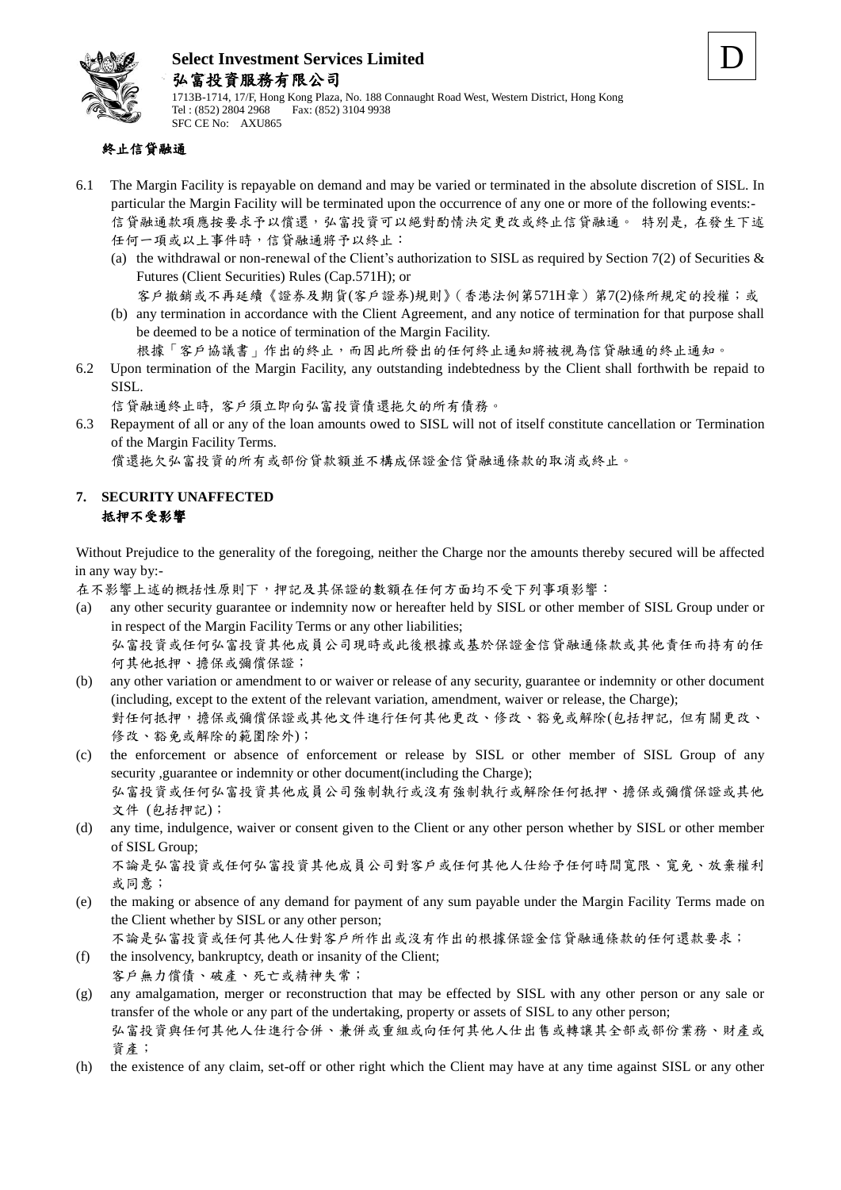



1713B-1714, 17/F, Hong Kong Plaza, No. 188 Connaught Road West, Western District, Hong Kong Tel : (852) 2804 2968 Fax: (852) 3104 9938 SFC CE No: AXU865

## 終止信貸融通

- 6.1 The Margin Facility is repayable on demand and may be varied or terminated in the absolute discretion of SISL. In particular the Margin Facility will be terminated upon the occurrence of any one or more of the following events:- 信貸融通款項應按要求予以償還,弘富投資可以絕對酌情決定更改或終止信貸融通。 特別是, 在發生下述 任何一項或以上事件時,信貸融通將予以終止:
	- (a) the withdrawal or non-renewal of the Client's authorization to SISL as required by Section 7(2) of Securities  $\&$ Futures (Client Securities) Rules (Cap.571H); or

客戶撤銷或不再延續《證券及期貨(客戶證券)規則》(香港法例第571H章)第7(2)條所規定的授權;或

(b) any termination in accordance with the Client Agreement, and any notice of termination for that purpose shall be deemed to be a notice of termination of the Margin Facility.

根據「客戶協議書」作出的終止,而因此所發出的任何終止通知將被視為信貸融通的終止通知。

6.2 Upon termination of the Margin Facility, any outstanding indebtedness by the Client shall forthwith be repaid to SISL.

信貸融通終止時, 客戶須立即向弘富投資債還拖欠的所有債務。

6.3 Repayment of all or any of the loan amounts owed to SISL will not of itself constitute cancellation or Termination of the Margin Facility Terms.

償還拖欠弘富投資的所有或部份貸款額並不構成保證金信貸融通條款的取消或終止。

#### **7. SECURITY UNAFFECTED** 抵押不受影響

Without Prejudice to the generality of the foregoing, neither the Charge nor the amounts thereby secured will be affected in any way by:-

在不影響上述的概括性原則下,押記及其保證的數額在任何方面均不受下列事項影響:

- (a) any other security guarantee or indemnity now or hereafter held by SISL or other member of SISL Group under or in respect of the Margin Facility Terms or any other liabilities; 弘富投資或任何弘富投資其他成員公司現時或此後根據或基於保證金信貸融通條款或其他責任而持有的任 何其他抵押、擔保或彌償保證;
- (b) any other variation or amendment to or waiver or release of any security, guarantee or indemnity or other document (including, except to the extent of the relevant variation, amendment, waiver or release, the Charge); 對任何抵押,擔保或彌償保證或其他文件進行任何其他更改、修改、豁免或解除(包括押記, 但有關更改、 修改、豁免或解除的範圍除外);
- (c) the enforcement or absence of enforcement or release by SISL or other member of SISL Group of any security ,guarantee or indemnity or other document(including the Charge); 弘富投資或任何弘富投資其他成員公司強制執行或沒有強制執行或解除任何抵押、擔保或彌償保證或其他 文件 (包括押記);
- (d) any time, indulgence, waiver or consent given to the Client or any other person whether by SISL or other member of SISL Group;

不論是弘富投資或任何弘富投資其他成員公司對客戶或任何其他人仕給予任何時間寬限、寬免、放棄權利 或同意;

(e) the making or absence of any demand for payment of any sum payable under the Margin Facility Terms made on the Client whether by SISL or any other person;

不論是弘富投資或任何其他人仕對客戶所作出或沒有作出的根據保證金信貸融通條款的任何還款要求;

(f) the insolvency, bankruptcy, death or insanity of the Client; 客戶無力償債、破產、死亡或精神失常;

- (g) any amalgamation, merger or reconstruction that may be effected by SISL with any other person or any sale or transfer of the whole or any part of the undertaking, property or assets of SISL to any other person; 弘富投資與任何其他人仕進行合併、兼併或重組或向任何其他人仕出售或轉讓其全部或部份業務、財產或 資產;
- (h) the existence of any claim, set-off or other right which the Client may have at any time against SISL or any other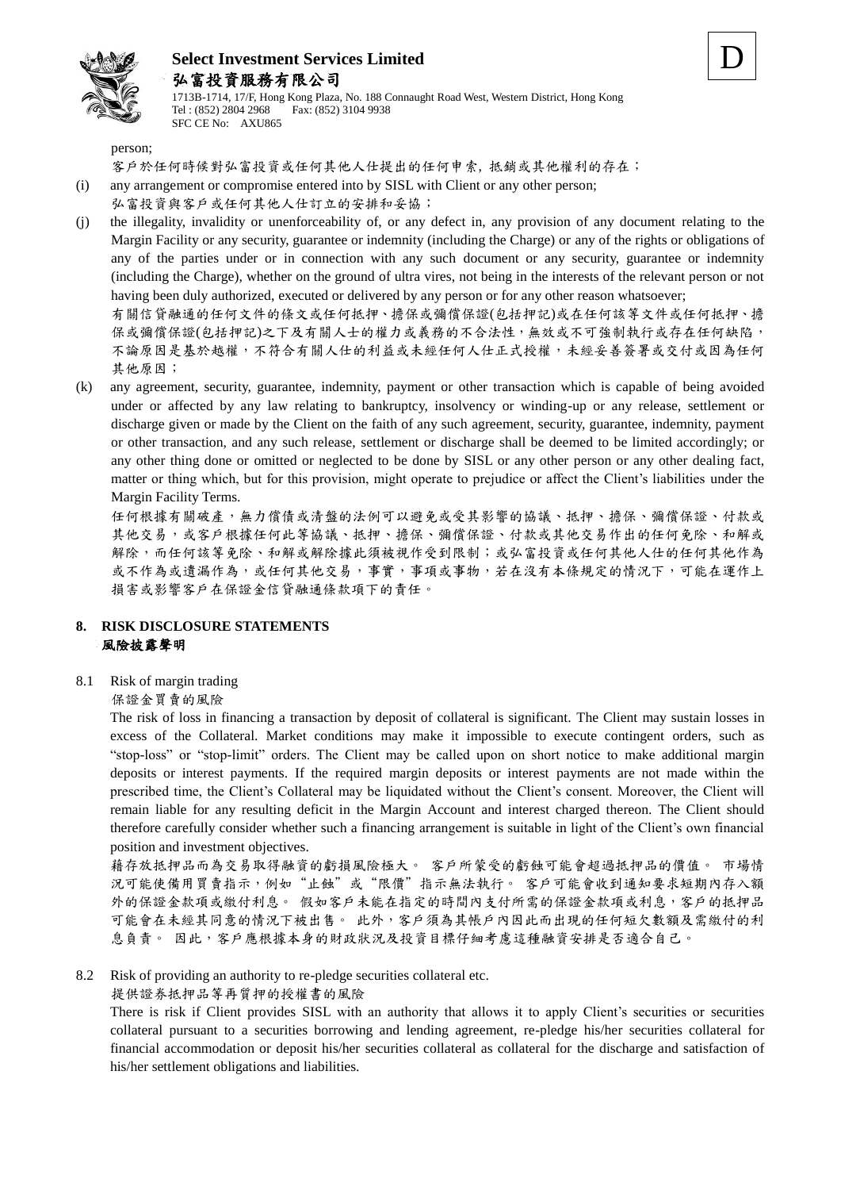

1713B-1714, 17/F, Hong Kong Plaza, No. 188 Connaught Road West, Western District, Hong Kong Tel : (852) 2804 2968 Fax: (852) 3104 9938 SFC CE No: AXU865

D

person;

客戶於任何時候對弘富投資或任何其他人仕提出的任何申索, 抵銷或其他權利的存在;

(i) any arrangement or compromise entered into by SISL with Client or any other person;

#### 弘富投資與客戶或任何其他人仕訂立的安排和妥協;

(j) the illegality, invalidity or unenforceability of, or any defect in, any provision of any document relating to the Margin Facility or any security, guarantee or indemnity (including the Charge) or any of the rights or obligations of any of the parties under or in connection with any such document or any security, guarantee or indemnity (including the Charge), whether on the ground of ultra vires, not being in the interests of the relevant person or not having been duly authorized, executed or delivered by any person or for any other reason whatsoever;

有關信貸融通的任何文件的條文或任何抵押、擔保或彌償保證(包括押記)或在任何該等文件或任何抵押、擔 保或彌償保證(包括押記)之下及有關人士的權力或義務的不合法性,無效或不可強制執行或存在任何缺陷, 不論原因是基於越權,不符合有關人仕的利益或未經任何人仕正式授權,未經妥善簽署或交付或因為任何 其他原因;

(k) any agreement, security, guarantee, indemnity, payment or other transaction which is capable of being avoided under or affected by any law relating to bankruptcy, insolvency or winding-up or any release, settlement or discharge given or made by the Client on the faith of any such agreement, security, guarantee, indemnity, payment or other transaction, and any such release, settlement or discharge shall be deemed to be limited accordingly; or any other thing done or omitted or neglected to be done by SISL or any other person or any other dealing fact, matter or thing which, but for this provision, might operate to prejudice or affect the Client's liabilities under the Margin Facility Terms.

任何根據有關破產,無力償債或清盤的法例可以避免或受其影響的協議、抵押、擔保、彌償保證、付款或 其他交易,或客戶根據任何此等協議、抵押、擔保、彌償保證、付款或其他交易作出的任何免除、和解或 解除,而任何該等免除、和解或解除據此須被視作受到限制;或弘富投資或任何其他人仕的任何其他作為 或不作為或遺漏作為,或任何其他交易,事實,事項或事物,若在沒有本條規定的情況下,可能在運作上 損害或影響客戶在保證金信貸融通條款項下的責任。

#### **8. RISK DISCLOSURE STATEMENTS** 風險披露聲明

8.1 Risk of margin trading

#### 保證金買賣的風險

The risk of loss in financing a transaction by deposit of collateral is significant. The Client may sustain losses in excess of the Collateral. Market conditions may make it impossible to execute contingent orders, such as "stop-loss" or "stop-limit" orders. The Client may be called upon on short notice to make additional margin deposits or interest payments. If the required margin deposits or interest payments are not made within the prescribed time, the Client's Collateral may be liquidated without the Client's consent. Moreover, the Client will remain liable for any resulting deficit in the Margin Account and interest charged thereon. The Client should therefore carefully consider whether such a financing arrangement is suitable in light of the Client's own financial position and investment objectives.

藉存放抵押品而為交易取得融資的虧損風險極大。 客戶所蒙受的虧蝕可能會超過抵押品的價值。 市場情 況可能使備用買賣指示,例如"止蝕"或"限價"指示無法執行。 客戶可能會收到通知要求短期內存入額 外的保證金款項或繳付利息。 假如客戶未能在指定的時間內支付所需的保證金款項或利息,客戶的抵押品 可能會在未經其同意的情況下被出售。 此外,客戶須為其帳戶內因此而出現的任何短欠數額及需繳付的利 息負責。 因此,客戶應根據本身的財政狀況及投資目標仔細考慮這種融資安排是否適合自己。

8.2 Risk of providing an authority to re-pledge securities collateral etc.

提供證券抵押品等再質押的授權書的風險

There is risk if Client provides SISL with an authority that allows it to apply Client's securities or securities collateral pursuant to a securities borrowing and lending agreement, re-pledge his/her securities collateral for financial accommodation or deposit his/her securities collateral as collateral for the discharge and satisfaction of his/her settlement obligations and liabilities.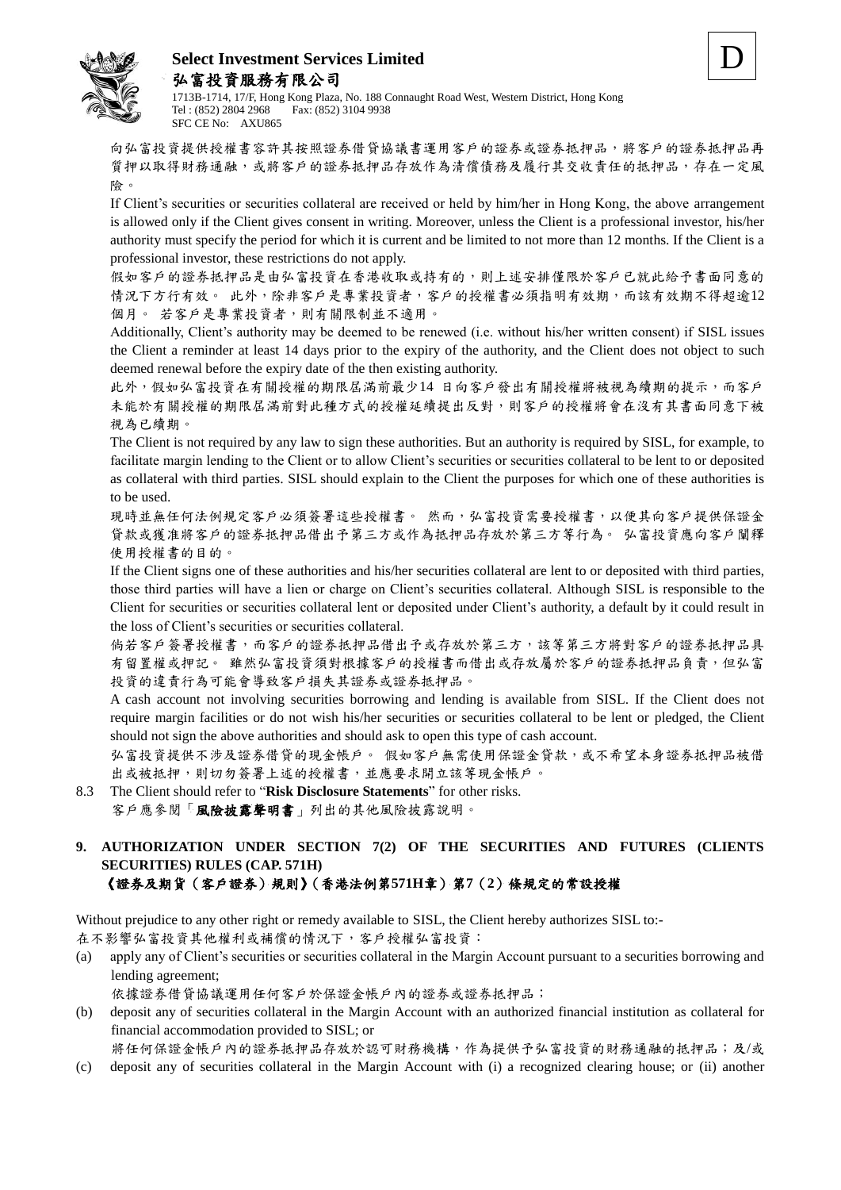



1713B-1714, 17/F, Hong Kong Plaza, No. 188 Connaught Road West, Western District, Hong Kong Tel : (852) 2804 2968 Fax: (852) 3104 9938 SFC CE No: AXU865

向弘富投資提供授權書容許其按照證券借貸協議書運用客戶的證券或證券抵押品,將客戶的證券抵押品再 質押以取得財務通融,或將客戶的證券抵押品存放作為清償債務及履行其交收責任的抵押品,存在一定風 險。

If Client's securities or securities collateral are received or held by him/her in Hong Kong, the above arrangement is allowed only if the Client gives consent in writing. Moreover, unless the Client is a professional investor, his/her authority must specify the period for which it is current and be limited to not more than 12 months. If the Client is a professional investor, these restrictions do not apply.

假如客戶的證券抵押品是由弘富投資在香港收取或持有的,則上述安排僅限於客戶已就此給予書面同意的 情況下方行有效。 此外,除非客戶是專業投資者,客戶的授權書必須指明有效期,而該有效期不得超逾12 個月。 若客戶是專業投資者,則有關限制並不適用。

Additionally, Client's authority may be deemed to be renewed (i.e. without his/her written consent) if SISL issues the Client a reminder at least 14 days prior to the expiry of the authority, and the Client does not object to such deemed renewal before the expiry date of the then existing authority.

此外,假如弘富投資在有關授權的期限屆滿前最少14 日向客戶發出有關授權將被視為續期的提示,而客戶 未能於有關授權的期限屆滿前對此種方式的授權延續提出反對,則客戶的授權將會在沒有其書面同意下被 視為已續期。

The Client is not required by any law to sign these authorities. But an authority is required by SISL, for example, to facilitate margin lending to the Client or to allow Client's securities or securities collateral to be lent to or deposited as collateral with third parties. SISL should explain to the Client the purposes for which one of these authorities is to be used.

現時並無任何法例規定客戶必須簽署這些授權書。然而,弘富投資需要授權書,以便其向客戶提供保證金 貸款或獲准將客戶的證券抵押品借出予第三方或作為抵押品存放於第三方等行為。 弘富投資應向客戶闡釋 使用授權書的目的。

If the Client signs one of these authorities and his/her securities collateral are lent to or deposited with third parties, those third parties will have a lien or charge on Client's securities collateral. Although SISL is responsible to the Client for securities or securities collateral lent or deposited under Client's authority, a default by it could result in the loss of Client's securities or securities collateral.

倘若客戶簽署授權書,而客戶的證券抵押品借出予或存放於第三方,該等第三方將對客戶的證券抵押品具 有留置權或押記。 雖然弘富投資須對根據客戶的授權書而借出或存放屬於客戶的證券抵押品負責,但弘富 投資的違責行為可能會導致客戶損失其證券或證券抵押品。

A cash account not involving securities borrowing and lending is available from SISL. If the Client does not require margin facilities or do not wish his/her securities or securities collateral to be lent or pledged, the Client should not sign the above authorities and should ask to open this type of cash account.

弘富投資提供不涉及證券借貸的現金帳戶。 假如客戶無需使用保證金貸款,或不希望本身證券抵押品被借 出或被抵押,則切勿簽署上述的授權書,並應要求開立該等現金帳戶。

- 8.3 The Client should refer to "**Risk Disclosure Statements**" for other risks. 客戶應參閱「風險披露聲明書」列出的其他風險披露說明。
- **9. AUTHORIZATION UNDER SECTION 7(2) OF THE SECURITIES AND FUTURES (CLIENTS SECURITIES) RULES (CAP. 571H)** 《證券及期貨(客戶證券)規則》(香港法例第**571H**章)第**7**(**2**)條規定的常設授權

Without prejudice to any other right or remedy available to SISL, the Client hereby authorizes SISL to:-

在不影響弘富投資其他權利或補償的情況下,客戶授權弘富投資:

(a) apply any of Client's securities or securities collateral in the Margin Account pursuant to a securities borrowing and lending agreement;

依據證券借貸協議運用任何客戶於保證金帳戶內的證券或證券抵押品;

(b) deposit any of securities collateral in the Margin Account with an authorized financial institution as collateral for financial accommodation provided to SISL; or

將任何保證金帳戶內的證券抵押品存放於認可財務機構,作為提供予弘富投資的財務通融的抵押品;及/或

(c) deposit any of securities collateral in the Margin Account with (i) a recognized clearing house; or (ii) another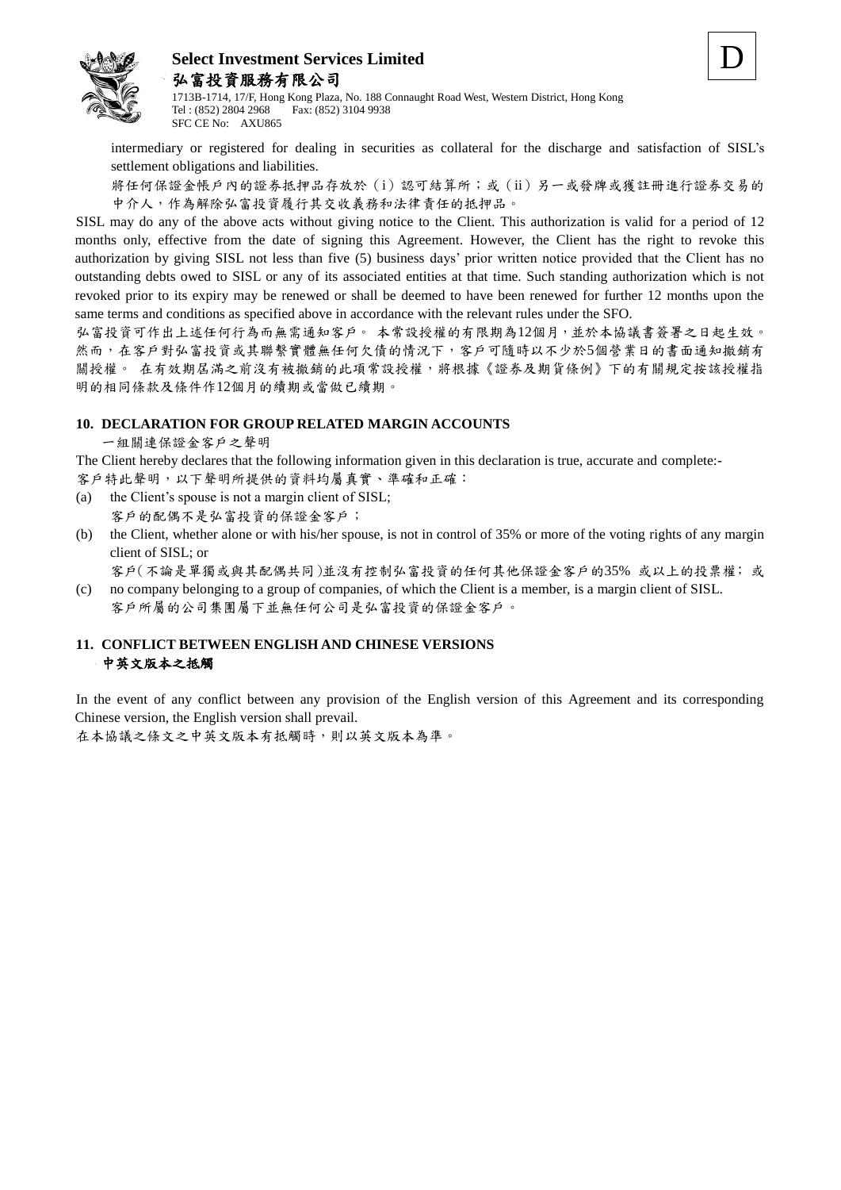



1713B-1714, 17/F, Hong Kong Plaza, No. 188 Connaught Road West, Western District, Hong Kong Tel : (852) 2804 2968 Fax: (852) 3104 9938 SFC CE No: AXU865

intermediary or registered for dealing in securities as collateral for the discharge and satisfaction of SISL's settlement obligations and liabilities.

將任何保證金帳戶內的證券抵押品存放於(i)認可結算所;或(ii)另一或發牌或獲註冊進行證券交易的 中介人,作為解除弘富投資履行其交收義務和法律責任的抵押品。

SISL may do any of the above acts without giving notice to the Client. This authorization is valid for a period of 12 months only, effective from the date of signing this Agreement. However, the Client has the right to revoke this authorization by giving SISL not less than five (5) business days' prior written notice provided that the Client has no outstanding debts owed to SISL or any of its associated entities at that time. Such standing authorization which is not revoked prior to its expiry may be renewed or shall be deemed to have been renewed for further 12 months upon the same terms and conditions as specified above in accordance with the relevant rules under the SFO.

弘富投資可作出上述任何行為而無需通知客戶。 本常設授權的有限期為12個月,並於本協議書簽署之日起生效。 然而,在客戶對弘富投資或其聯繫實體無任何欠債的情況下,客戶可隨時以不少於5個營業日的書面通知撤銷有 關授權。 在有效期屆滿之前沒有被撤銷的此項常設授權,將根據《證券及期貨條例》下的有關規定按該授權指 明的相同條款及條件作12個月的續期或當做已續期。

#### **10. DECLARATION FOR GROUP RELATED MARGIN ACCOUNTS**

一組關連保證金客戶之聲明

The Client hereby declares that the following information given in this declaration is true, accurate and complete:- 客戶特此聲明,以下聲明所提供的資料均屬真實、準確和正確:

- (a) the Client's spouse is not a margin client of SISL;
	- 客戶的配偶不是弘富投資的保證金客戶;
- (b) the Client, whether alone or with his/her spouse, is not in control of 35% or more of the voting rights of any margin client of SISL; or

客戶(不論是單獨或與其配偶共同)並沒有控制弘富投資的任何其他保證金客戶的35% 或以上的投票權; 或

(c) no company belonging to a group of companies, of which the Client is a member, is a margin client of SISL. 客戶所屬的公司集團屬下並無任何公司是弘富投資的保證金客戶。

#### **11. CONFLICT BETWEEN ENGLISH AND CHINESE VERSIONS** 中英文版本之抵觸

In the event of any conflict between any provision of the English version of this Agreement and its corresponding Chinese version, the English version shall prevail.

在本協議之條文之中英文版本有抵觸時,則以英文版本為準。